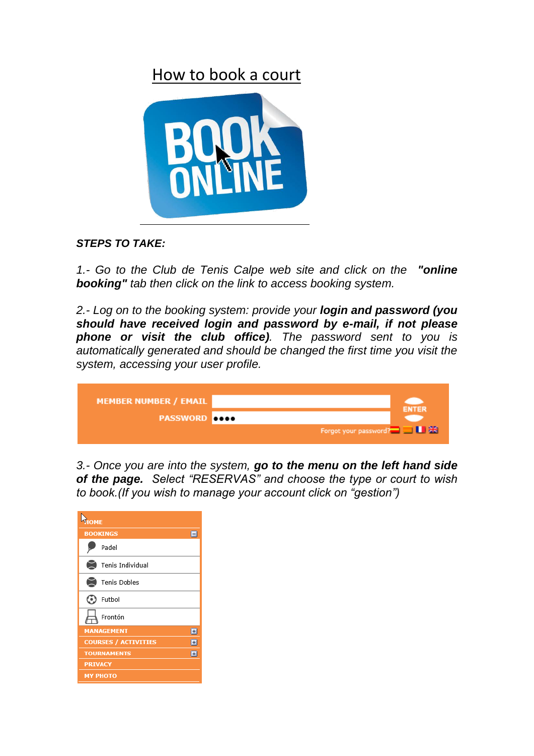## How to book a court



## *STEPS TO TAKE:*

*1.- Go to the Club de Tenis Calpe web site and click on the "online booking" tab then click on the link to access booking system.*

*2.- Log on to the booking system: provide your login and password (you should have received login and password by e-mail, if not please phone or visit the club office). The password sent to you is automatically generated and should be changed the first time you visit the system, accessing your user profile.*

| <b>MEMBER NUMBER / EMAIL</b> |                                    | <b>ENTER</b> |
|------------------------------|------------------------------------|--------------|
| <b>PASSWORD</b> 0000         |                                    |              |
|                              | Forgot your password? <b>BU AX</b> |              |

*3.- Once you are into the system, go to the menu on the left hand side of the page. Select "RESERVAS" and choose the type or court to wish to book.(If you wish to manage your account click on "gestion")*

| HOME                             |  |  |
|----------------------------------|--|--|
| <b>BOOKINGS</b><br>Е             |  |  |
| Padel                            |  |  |
| Tenis Individual                 |  |  |
| Tenis Dobles                     |  |  |
| Futbol                           |  |  |
| Frontón                          |  |  |
| <b>MANAGEMENT</b><br>E           |  |  |
| <b>COURSES / ACTIVITIES</b><br>H |  |  |
| <b>TOURNAMENTS</b><br>E          |  |  |
| <b>PRIVACY</b>                   |  |  |
| МУ РНОТО                         |  |  |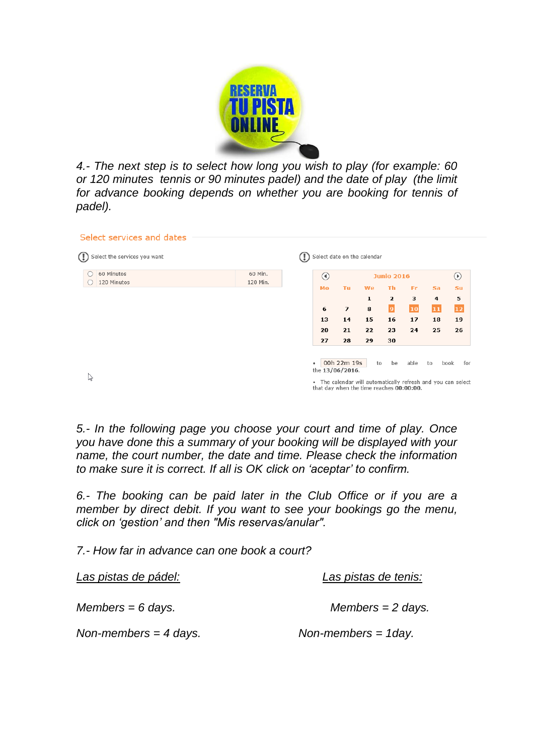

*4.- The next step is to select how long you wish to play (for example: 60 or 120 minutes tennis or 90 minutes padel) and the date of play (the limit for advance booking depends on whether you are booking for tennis of padel).*

| Select services and dates    |          |                 |                |                                          |                   |      |    |                                                              |  |
|------------------------------|----------|-----------------|----------------|------------------------------------------|-------------------|------|----|--------------------------------------------------------------|--|
|                              |          |                 |                |                                          |                   |      |    |                                                              |  |
| Select the services you want |          |                 |                | Select date on the calendar              |                   |      |    |                                                              |  |
| 60 Minutos                   | 60 Min.  | $\circledcirc$  |                |                                          | <b>Junio 2016</b> |      |    | $^\copyright$                                                |  |
| 120 Minutos                  | 120 Min. | Mo              | Tu.            | <b>We</b>                                | Th.               | Fr   | Sa | Su                                                           |  |
|                              |          |                 |                | 1                                        | $\overline{2}$    | з    | 4  | 5                                                            |  |
|                              |          | 6               | $\overline{ }$ | 8                                        | $\vert$ 9         | 10   | 11 | $\boxed{12}$                                                 |  |
|                              |          | 13              | 14             | 15                                       | 16                | 17   | 18 | 19                                                           |  |
|                              |          | 20              | 21             | 22                                       | 23                | 24   | 25 | 26                                                           |  |
|                              |          | 27              | 28             | 29                                       | 30                |      |    |                                                              |  |
|                              |          |                 |                |                                          |                   |      |    |                                                              |  |
|                              |          | $\bullet$       | 00h 22m 19s    | to                                       | be                | able | to | book<br>for                                                  |  |
| B                            |          | the 13/06/2016. |                |                                          |                   |      |    |                                                              |  |
|                              |          |                 |                | that day when the time reaches 00:00:00. |                   |      |    | . The calendar will automatically refresh and you can select |  |

*5.- In the following page you choose your court and time of play. Once you have done this a summary of your booking will be displayed with your name, the court number, the date and time. Please check the information to make sure it is correct. If all is OK click on 'aceptar' to confirm.*

*6.- The booking can be paid later in the Club Office or if you are a member by direct debit. If you want to see your bookings go the menu, click on 'gestion' and then "Mis reservas/anular".* 

*7.- How far in advance can one book a court?*

| Las pistas de pádel:  | Las pistas de tenis:   |
|-----------------------|------------------------|
| $Members = 6$ days.   | $Members = 2 days$ .   |
| Non-members = 4 days. | Non-members $=$ 1 day. |